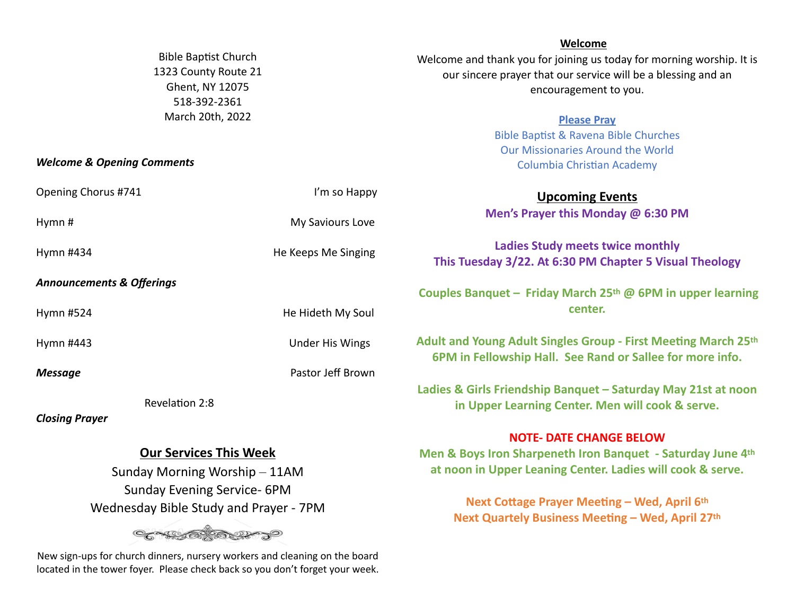|                                       |                                                     |                        | Welcome                                                                                                                     |
|---------------------------------------|-----------------------------------------------------|------------------------|-----------------------------------------------------------------------------------------------------------------------------|
|                                       | <b>Bible Baptist Church</b><br>1323 County Route 21 |                        | Welcome and thank you for joining us today for morning worship. It is                                                       |
|                                       |                                                     |                        | our sincere prayer that our service will be a blessing and an                                                               |
| Ghent, NY 12075                       |                                                     |                        | encouragement to you.                                                                                                       |
| 518-392-2361                          |                                                     |                        |                                                                                                                             |
| March 20th, 2022                      |                                                     |                        | <b>Please Pray</b>                                                                                                          |
|                                       |                                                     |                        | <b>Bible Baptist &amp; Ravena Bible Churches</b>                                                                            |
|                                       |                                                     |                        | <b>Our Missionaries Around the World</b>                                                                                    |
| <b>Welcome &amp; Opening Comments</b> |                                                     |                        | <b>Columbia Christian Academy</b>                                                                                           |
| Opening Chorus #741                   |                                                     | I'm so Happy           | <b>Upcoming Events</b>                                                                                                      |
| Hymn#                                 |                                                     | My Saviours Love       | Men's Prayer this Monday @ 6:30 PM                                                                                          |
| Hymn #434                             |                                                     | He Keeps Me Singing    | <b>Ladies Study meets twice monthly</b>                                                                                     |
|                                       |                                                     |                        | This Tuesday 3/22. At 6:30 PM Chapter 5 Visual Theology                                                                     |
| <b>Announcements &amp; Offerings</b>  |                                                     |                        |                                                                                                                             |
|                                       |                                                     |                        | Couples Banquet – Friday March 25th @ 6PM in upper learning                                                                 |
| Hymn #524                             |                                                     | He Hideth My Soul      | center.                                                                                                                     |
| Hymn #443                             |                                                     | <b>Under His Wings</b> | Adult and Young Adult Singles Group - First Meeting March 25th<br>6PM in Fellowship Hall. See Rand or Sallee for more info. |
| <b>Message</b>                        |                                                     | Pastor Jeff Brown      |                                                                                                                             |
|                                       |                                                     |                        | Ladies & Girls Friendship Banquet - Saturday May 21st at noon                                                               |
|                                       | Revelation 2:8                                      |                        | in Upper Learning Center. Men will cook & serve.                                                                            |
| <b>Closing Prayer</b>                 |                                                     |                        |                                                                                                                             |
|                                       |                                                     |                        | MOTE DATE CHANGE BELOIM                                                                                                     |

## **Our Services This Week**

Sunday Morning Worship – 11AM Sunday Evening Service- 6PM Wednesday Bible Study and Prayer - 7PM



New sign-ups for church dinners, nursery workers and cleaning on the board located in the tower foyer. Please check back so you don't forget your week. **NOTE- DATE CHANGE BELOW**

**Men & Boys Iron Sharpeneth Iron Banquet - Saturday June 4th at noon in Upper Leaning Center. Ladies will cook & serve.**

> **Next Cottage Prayer Meeting – Wed, April 6th Next Quartely Business Meeting – Wed, April 27th**